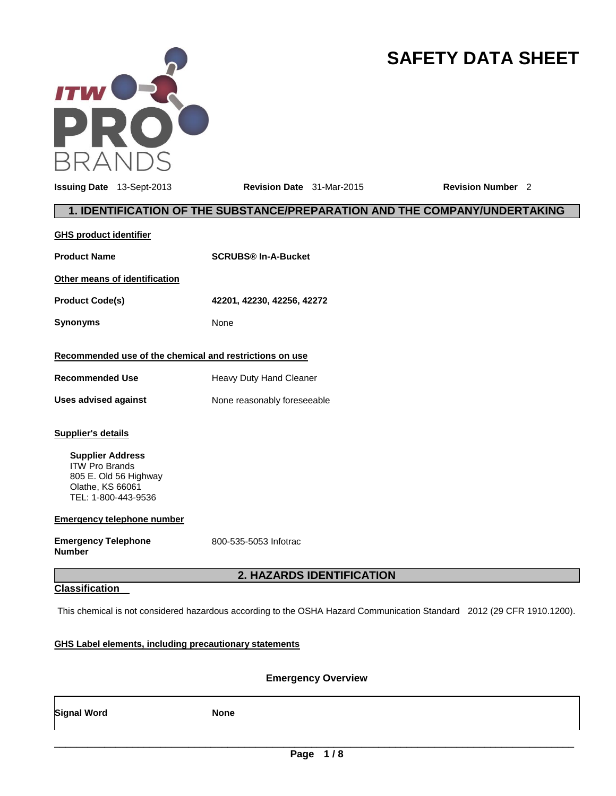

# **SAFETY DATA SHEET**

**Issuing Date** 13-Sept-2013 **Revision Date** 31-Mar-2015 **Revision Number** 2

# **1. IDENTIFICATION OF THE SUBSTANCE/PREPARATION AND THE COMPANY/UNDERTAKING**

| <b>GHS product identifier</b>                                                                                                                                                                                                         |                             |
|---------------------------------------------------------------------------------------------------------------------------------------------------------------------------------------------------------------------------------------|-----------------------------|
| <b>Product Name</b>                                                                                                                                                                                                                   | <b>SCRUBS® In-A-Bucket</b>  |
| Other means of identification                                                                                                                                                                                                         |                             |
| <b>Product Code(s)</b>                                                                                                                                                                                                                | 42201, 42230, 42256, 42272  |
| <b>Synonyms</b>                                                                                                                                                                                                                       | None                        |
| Recommended use of the chemical and restrictions on use                                                                                                                                                                               |                             |
| <b>Recommended Use</b>                                                                                                                                                                                                                | Heavy Duty Hand Cleaner     |
| <b>Uses advised against</b>                                                                                                                                                                                                           | None reasonably foreseeable |
| <b>Supplier's details</b><br><b>Supplier Address</b><br><b>ITW Pro Brands</b><br>805 E. Old 56 Highway<br>Olathe, KS 66061<br>TEL: 1-800-443-9536<br><b>Emergency telephone number</b><br><b>Emergency Telephone</b><br><b>Number</b> | 800-535-5053 Infotrac       |
|                                                                                                                                                                                                                                       | 2. HAZARDS IDENTIFICATION   |
| <b>Classification</b>                                                                                                                                                                                                                 |                             |

This chemical is not considered hazardous according to the OSHA Hazard Communication Standard 2012 (29 CFR 1910.1200).

# **GHS Label elements, including precautionary statements**

**Emergency Overview** 

**Signal Word None None**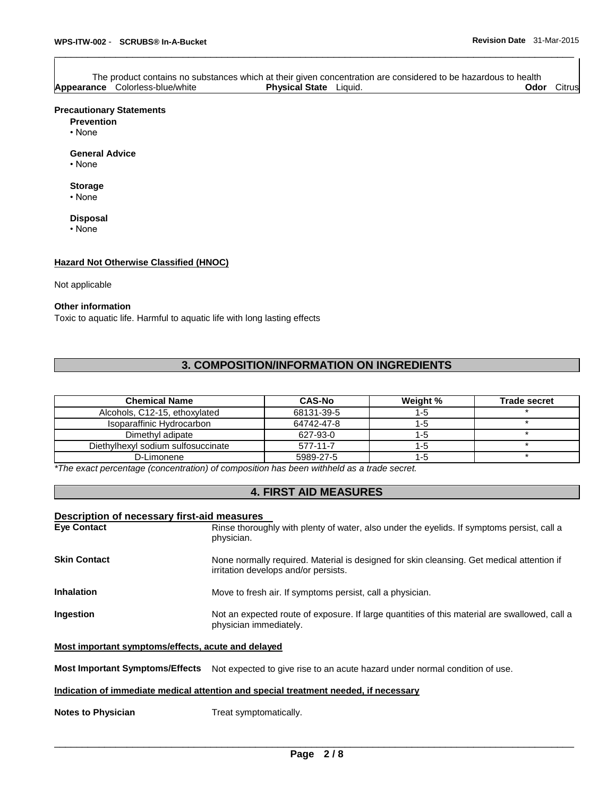|                                        |                               | The product contains no substances which at their given concentration are considered to be hazardous to health |      |        |
|----------------------------------------|-------------------------------|----------------------------------------------------------------------------------------------------------------|------|--------|
| <b>Appearance</b> Colorless-blue/white | <b>Physical State</b> Liquid. |                                                                                                                | Odor | Citrus |

\_\_\_\_\_\_\_\_\_\_\_\_\_\_\_\_\_\_\_\_\_\_\_\_\_\_\_\_\_\_\_\_\_\_\_\_\_\_\_\_\_\_\_\_\_\_\_\_\_\_\_\_\_\_\_\_\_\_\_\_\_\_\_\_\_\_\_\_\_\_\_\_\_\_\_\_\_\_\_\_\_\_\_\_\_\_\_\_\_\_\_\_\_

#### **Precautionary Statements**

**Prevention**

• None

**General Advice**

• None

#### **Storage**

• None

#### **Disposal**

• None

#### **Hazard Not Otherwise Classified (HNOC)**

#### Not applicable

#### **Other information**

Toxic to aquatic life. Harmful to aquatic life with long lasting effects

# **3. COMPOSITION/INFORMATION ON INGREDIENTS**

| <b>Chemical Name</b>               | <b>CAS-No</b> | Weight % | <b>Trade secret</b> |
|------------------------------------|---------------|----------|---------------------|
| Alcohols, C12-15, ethoxylated      | 68131-39-5    | $1 - 5$  |                     |
| Isoparaffinic Hydrocarbon          | 64742-47-8    | 1-5      |                     |
| Dimethyl adipate                   | 627-93-0      | 1-5      |                     |
| Diethylhexyl sodium sulfosuccinate | 577-11-7      | $1 - 5$  |                     |
| D-Limonene                         | 5989-27-5     | 1-5      |                     |

*\*The exact percentage (concentration) of composition has been withheld as a trade secret.* 

# **4. FIRST AID MEASURES**

#### **Description of necessary first-aid measures**

| <b>Eye Contact</b>  | Rinse thoroughly with plenty of water, also under the eyelids. If symptoms persist, call a<br>physician.                          |
|---------------------|-----------------------------------------------------------------------------------------------------------------------------------|
| <b>Skin Contact</b> | None normally required. Material is designed for skin cleansing. Get medical attention if<br>irritation develops and/or persists. |
| <b>Inhalation</b>   | Move to fresh air. If symptoms persist, call a physician.                                                                         |
| Ingestion           | Not an expected route of exposure. If large quantities of this material are swallowed, call a<br>physician immediately.           |

#### **Most important symptoms/effects, acute and delayed**

**Most Important Symptoms/Effects** Not expected to give rise to an acute hazard under normal condition of use.

#### **Indication of immediate medical attention and special treatment needed, if necessary**

**Notes to Physician Treat symptomatically.**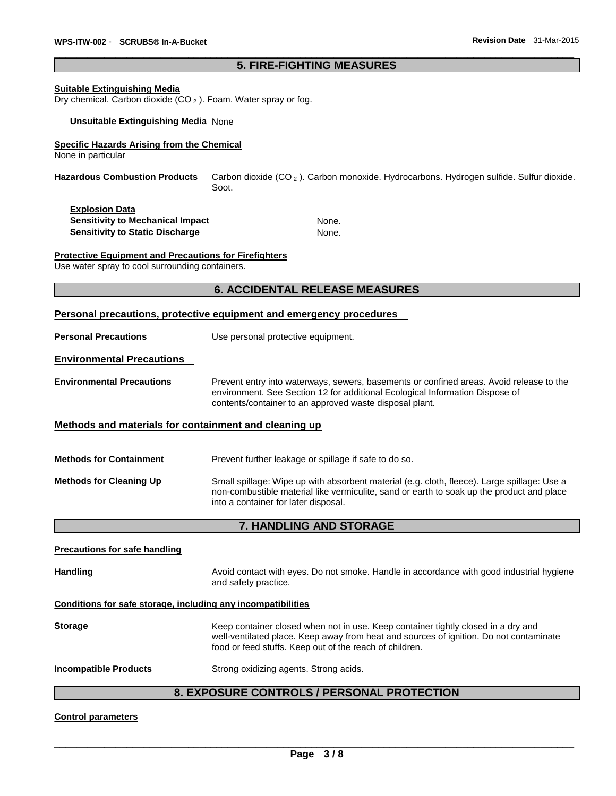#### \_\_\_\_\_\_\_\_\_\_\_\_\_\_\_\_\_\_\_\_\_\_\_\_\_\_\_\_\_\_\_\_\_\_\_\_\_\_\_\_\_\_\_\_\_\_\_\_\_\_\_\_\_\_\_\_\_\_\_\_\_\_\_\_\_\_\_\_\_\_\_\_\_\_\_\_\_\_\_\_\_\_\_\_\_\_\_\_\_\_\_\_\_ **5. FIRE-FIGHTING MEASURES**

#### **Suitable Extinguishing Media**

Dry chemical. Carbon dioxide (CO <sup>2</sup> ). Foam. Water spray or fog.

#### **Unsuitable Extinguishing Media** None

#### **Specific Hazards Arising from the Chemical**

None in particular

**Hazardous Combustion Products** Carbon dioxide (CO <sup>2</sup> ). Carbon monoxide. Hydrocarbons. Hydrogen sulfide. Sulfur dioxide. Soot.

| <b>Explosion Data</b>                   |       |
|-----------------------------------------|-------|
| <b>Sensitivity to Mechanical Impact</b> | None. |
| <b>Sensitivity to Static Discharge</b>  | None. |

**Protective Equipment and Precautions for Firefighters**

Use water spray to cool surrounding containers.

#### **6. ACCIDENTAL RELEASE MEASURES**

#### **Personal precautions, protective equipment and emergency procedures**

**Personal Precautions Use personal protective equipment.** 

#### **Environmental Precautions**

**Environmental Precautions** Prevent entry into waterways, sewers, basements or confined areas. Avoid release to the environment. See Section 12 for additional Ecological Information Dispose of contents/container to an approved waste disposal plant.

#### **Methods and materials for containment and cleaning up**

| <b>Methods for Containment</b> | Prevent further leakage or spillage if safe to do so.                                                                                                                                                                            |
|--------------------------------|----------------------------------------------------------------------------------------------------------------------------------------------------------------------------------------------------------------------------------|
| <b>Methods for Cleaning Up</b> | Small spillage: Wipe up with absorbent material (e.g. cloth, fleece). Large spillage: Use a<br>non-combustible material like vermiculite, sand or earth to soak up the product and place<br>into a container for later disposal. |

#### **7. HANDLING AND STORAGE**

#### **Precautions for safe handling**

Handling **Handling Avoid contact with eyes. Do not smoke. Handle in accordance with good industrial hygiene** and safety practice.

#### **Conditions for safe storage, including any incompatibilities**

| <b>Storage</b>               | Keep container closed when not in use. Keep container tightly closed in a dry and<br>well-ventilated place. Keep away from heat and sources of ignition. Do not contaminate<br>food or feed stuffs. Keep out of the reach of children. |
|------------------------------|----------------------------------------------------------------------------------------------------------------------------------------------------------------------------------------------------------------------------------------|
| <b>Incompatible Products</b> | Strong oxidizing agents. Strong acids.                                                                                                                                                                                                 |

# **8. EXPOSURE CONTROLS / PERSONAL PROTECTION**

#### **Control parameters**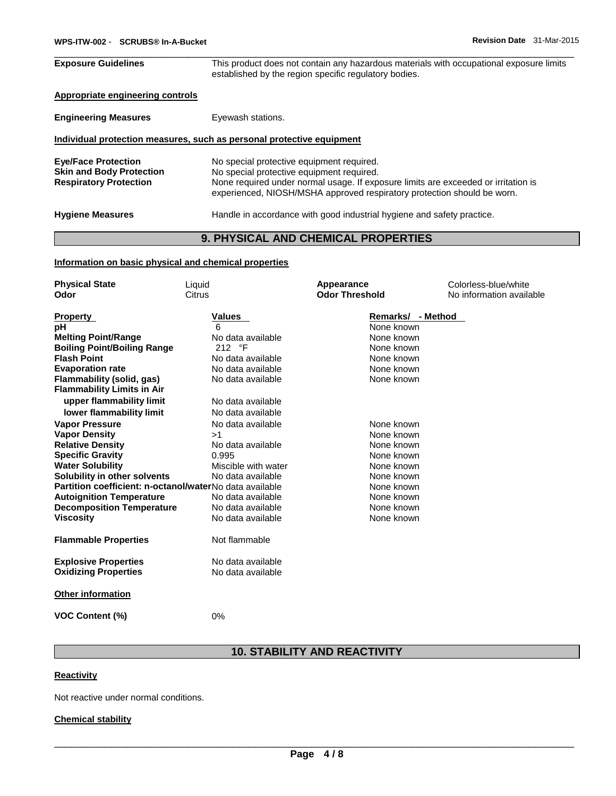| <b>Exposure Guidelines</b>                                                                     | This product does not contain any hazardous materials with occupational exposure limits<br>established by the region specific regulatory bodies.                                                                                                        |
|------------------------------------------------------------------------------------------------|---------------------------------------------------------------------------------------------------------------------------------------------------------------------------------------------------------------------------------------------------------|
| Appropriate engineering controls                                                               |                                                                                                                                                                                                                                                         |
| <b>Engineering Measures</b>                                                                    | Eyewash stations.                                                                                                                                                                                                                                       |
|                                                                                                | Individual protection measures, such as personal protective equipment                                                                                                                                                                                   |
| <b>Eye/Face Protection</b><br><b>Skin and Body Protection</b><br><b>Respiratory Protection</b> | No special protective equipment required.<br>No special protective equipment required.<br>None required under normal usage. If exposure limits are exceeded or irritation is<br>experienced, NIOSH/MSHA approved respiratory protection should be worn. |
| <b>Hygiene Measures</b>                                                                        | Handle in accordance with good industrial hygiene and safety practice.                                                                                                                                                                                  |

# **9. PHYSICAL AND CHEMICAL PROPERTIES**

#### **Information on basic physical and chemical properties**

| <b>Physical State</b>                                   | Liquid              | Appearance            | Colorless-blue/white     |
|---------------------------------------------------------|---------------------|-----------------------|--------------------------|
| Odor                                                    | <b>Citrus</b>       | <b>Odor Threshold</b> | No information available |
| <b>Property</b>                                         | <b>Values</b>       | Remarks/ - Method     |                          |
| рH                                                      | 6                   | None known            |                          |
| <b>Melting Point/Range</b>                              | No data available   | None known            |                          |
| <b>Boiling Point/Boiling Range</b>                      | 212 °F              | None known            |                          |
| <b>Flash Point</b>                                      | No data available   | None known            |                          |
| <b>Evaporation rate</b>                                 | No data available   | None known            |                          |
| Flammability (solid, gas)                               | No data available   | None known            |                          |
| <b>Flammability Limits in Air</b>                       |                     |                       |                          |
| upper flammability limit                                | No data available   |                       |                          |
| lower flammability limit                                | No data available   |                       |                          |
| <b>Vapor Pressure</b>                                   | No data available   | None known            |                          |
| <b>Vapor Density</b>                                    | >1                  | None known            |                          |
| <b>Relative Density</b>                                 | No data available   | None known            |                          |
| <b>Specific Gravity</b>                                 | 0.995               | None known            |                          |
| <b>Water Solubility</b>                                 | Miscible with water | None known            |                          |
| Solubility in other solvents                            | No data available   | None known            |                          |
| Partition coefficient: n-octanol/waterNo data available |                     | None known            |                          |
| <b>Autoignition Temperature</b>                         | No data available   | None known            |                          |
| <b>Decomposition Temperature</b>                        | No data available   | None known            |                          |
| <b>Viscosity</b>                                        | No data available   | None known            |                          |
| <b>Flammable Properties</b>                             | Not flammable       |                       |                          |
| <b>Explosive Properties</b>                             | No data available   |                       |                          |
| <b>Oxidizing Properties</b>                             | No data available   |                       |                          |
| <b>Other information</b>                                |                     |                       |                          |
| <b>VOC Content (%)</b>                                  | 0%                  |                       |                          |

# **10. STABILITY AND REACTIVITY**

#### **Reactivity**

Not reactive under normal conditions.

#### **Chemical stability**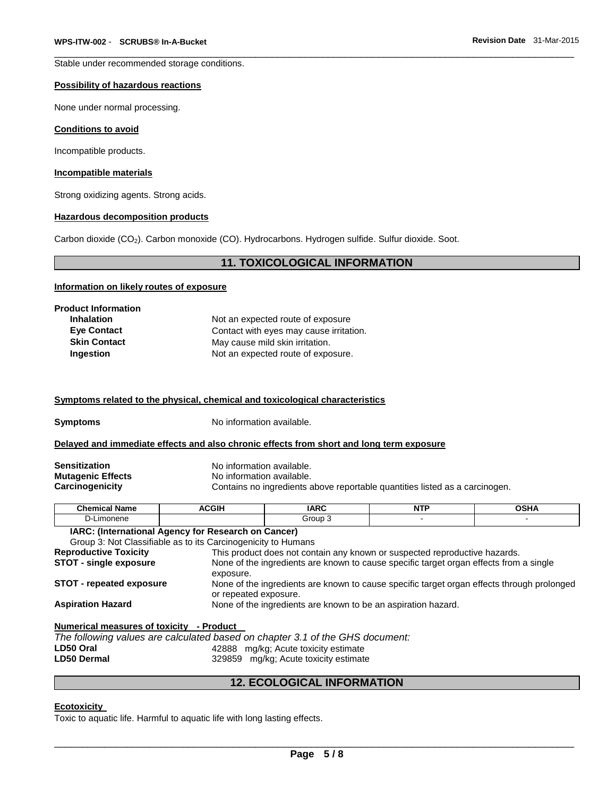Stable under recommended storage conditions.

#### **Possibility of hazardous reactions**

None under normal processing.

#### **Conditions to avoid**

Incompatible products.

#### **Incompatible materials**

Strong oxidizing agents. Strong acids.

#### **Hazardous decomposition products**

Carbon dioxide (CO2). Carbon monoxide (CO). Hydrocarbons. Hydrogen sulfide. Sulfur dioxide. Soot.

#### **11. TOXICOLOGICAL INFORMATION**

\_\_\_\_\_\_\_\_\_\_\_\_\_\_\_\_\_\_\_\_\_\_\_\_\_\_\_\_\_\_\_\_\_\_\_\_\_\_\_\_\_\_\_\_\_\_\_\_\_\_\_\_\_\_\_\_\_\_\_\_\_\_\_\_\_\_\_\_\_\_\_\_\_\_\_\_\_\_\_\_\_\_\_\_\_\_\_\_\_\_\_\_\_

#### **Information on likely routes of exposure**

| <b>Product Information</b> |                                         |
|----------------------------|-----------------------------------------|
| <b>Inhalation</b>          | Not an expected route of exposure       |
| <b>Eye Contact</b>         | Contact with eyes may cause irritation. |
| <b>Skin Contact</b>        | May cause mild skin irritation.         |
| Ingestion                  | Not an expected route of exposure.      |

#### **Symptoms related to the physical, chemical and toxicological characteristics**

**Symptoms** No information available.

#### **Delayed and immediate effects and also chronic effects from short and long term exposure**

| <b>Sensitization</b>     |  |
|--------------------------|--|
| <b>Mutagenic Effects</b> |  |
| <b>Carcinogenicity</b>   |  |

**Sensitization** No information available. **No information available.** Contains no ingredients above reportable quantities listed as a carcinogen.

| .<br>Chemical<br><b>Name</b> | <b>CGIH</b><br>$\sim$ | <b>IARC</b> | .<br>. | ∟ים ∩<br>יוסט |
|------------------------------|-----------------------|-------------|--------|---------------|
| umonene.<br>້                |                       | Group       |        |               |
| .<br>. .                     |                       |             |        |               |

# **IARC: (International Agency for Research on Cancer)**

| Group 3: Not Classifiable as to its Carcinogenicity to Humans |                                                                                                                     |
|---------------------------------------------------------------|---------------------------------------------------------------------------------------------------------------------|
| <b>Reproductive Toxicity</b>                                  | This product does not contain any known or suspected reproductive hazards.                                          |
| <b>STOT - single exposure</b>                                 | None of the ingredients are known to cause specific target organ effects from a single<br>exposure.                 |
| <b>STOT - repeated exposure</b>                               | None of the ingredients are known to cause specific target organ effects through prolonged<br>or repeated exposure. |
| <b>Aspiration Hazard</b>                                      | None of the ingredients are known to be an aspiration hazard.                                                       |

**Numerical measures of toxicity - Product** 

|                    | The following values are calculated based on chapter 3.1 of the GHS document: |  |
|--------------------|-------------------------------------------------------------------------------|--|
| LD50 Oral          | 42888 mg/kg; Acute toxicity estimate                                          |  |
| <b>LD50 Dermal</b> | 329859 mg/kg; Acute toxicity estimate                                         |  |
|                    |                                                                               |  |

### **12. ECOLOGICAL INFORMATION**

#### **Ecotoxicity**

Toxic to aquatic life. Harmful to aquatic life with long lasting effects.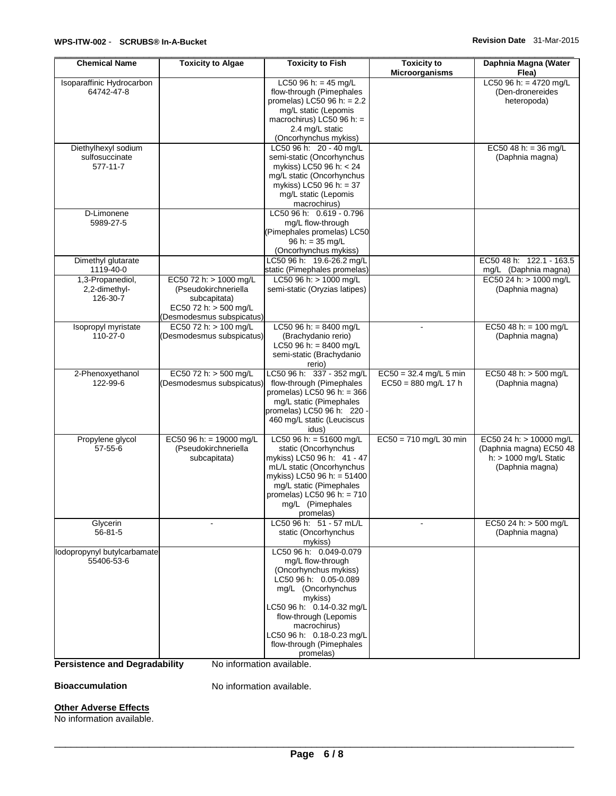| <b>Chemical Name</b>        | <b>Toxicity to Algae</b>  | <b>Toxicity to Fish</b>                         | <b>Toxicity to</b><br><b>Microorganisms</b> | Daphnia Magna (Water<br>Flea)                 |
|-----------------------------|---------------------------|-------------------------------------------------|---------------------------------------------|-----------------------------------------------|
| Isoparaffinic Hydrocarbon   |                           | LC50 96 h: = 45 mg/L                            |                                             | LC50 96 h: = $4720$ mg/L                      |
| 64742-47-8                  |                           | flow-through (Pimephales                        |                                             | (Den-dronereides                              |
|                             |                           | promelas) $\angle$ C50 96 h: = 2.2              |                                             | heteropoda)                                   |
|                             |                           | mg/L static (Lepomis                            |                                             |                                               |
|                             |                           | macrochirus) LC50 96 h: =                       |                                             |                                               |
|                             |                           | 2.4 mg/L static                                 |                                             |                                               |
|                             |                           | (Oncorhynchus mykiss)                           |                                             |                                               |
| Diethylhexyl sodium         |                           | LC50 96 h: 20 - 40 mg/L                         |                                             | EC50 48 h: = 36 mg/L                          |
| sulfosuccinate              |                           | semi-static (Oncorhynchus                       |                                             | (Daphnia magna)                               |
| 577-11-7                    |                           | mykiss) LC50 96 h: < 24                         |                                             |                                               |
|                             |                           | mg/L static (Oncorhynchus                       |                                             |                                               |
|                             |                           | mykiss) LC50 96 h: = 37                         |                                             |                                               |
|                             |                           | mg/L static (Lepomis                            |                                             |                                               |
|                             |                           | macrochirus)                                    |                                             |                                               |
| D-Limonene                  |                           | LC50 96 h: 0.619 - 0.796                        |                                             |                                               |
| 5989-27-5                   |                           | mg/L flow-through                               |                                             |                                               |
|                             |                           | (Pimephales promelas) LC50                      |                                             |                                               |
|                             |                           | $96 h: = 35 mg/L$                               |                                             |                                               |
|                             |                           | (Oncorhynchus mykiss)                           |                                             |                                               |
|                             |                           | LC50 96 h: 19.6-26.2 mg/L                       |                                             | EC50 48 h: 122.1 - 163.5                      |
| Dimethyl glutarate          |                           |                                                 |                                             |                                               |
| 1119-40-0                   |                           | static (Pimephales promelas)                    |                                             | mg/L (Daphnia magna)<br>EC5024 h: > 1000 mg/L |
| 1,3-Propanediol,            | EC50 72 h: > 1000 mg/L    | LC50 96 h: > 1000 mg/L                          |                                             |                                               |
| 2,2-dimethyl-               | (Pseudokirchneriella      | semi-static (Oryzias latipes)                   |                                             | (Daphnia magna)                               |
| 126-30-7                    | subcapitata)              |                                                 |                                             |                                               |
|                             | EC50 72 h: > 500 mg/L     |                                                 |                                             |                                               |
|                             | (Desmodesmus subspicatus) |                                                 |                                             |                                               |
| Isopropyl myristate         | EC50 72 h: > 100 mg/L     | LC50 96 h: = $8400$ mg/L                        |                                             | EC50 48 h: = $100$ mg/L                       |
| $110 - 27 - 0$              | (Desmodesmus subspicatus) | (Brachydanio rerio)                             |                                             | (Daphnia magna)                               |
|                             |                           | LC50 96 h: = $8400$ mg/L                        |                                             |                                               |
|                             |                           | semi-static (Brachydanio                        |                                             |                                               |
|                             |                           | rerio)                                          |                                             |                                               |
| 2-Phenoxyethanol            | EC50 72 h: > 500 mg/L     | LC50 96 h: 337 - 352 mg/L                       | $EC50 = 32.4$ mg/L 5 min                    | EC50 48 h: > 500 mg/L                         |
| 122-99-6                    | (Desmodesmus subspicatus) | flow-through (Pimephales                        | $EC50 = 880$ mg/L 17 h                      | (Daphnia magna)                               |
|                             |                           | promelas) $\overline{\text{LC}}$ 50 96 h: = 366 |                                             |                                               |
|                             |                           | mg/L static (Pimephales                         |                                             |                                               |
|                             |                           | promelas) LC50 96 h: 220 -                      |                                             |                                               |
|                             |                           | 460 mg/L static (Leuciscus                      |                                             |                                               |
|                             |                           | idus)                                           |                                             |                                               |
| Propylene glycol            | EC50 96 h: = 19000 mg/L   | LC50 96 h: = $51600$ mg/L                       | $EC50 = 710$ mg/L 30 min                    | EC50 24 h: > 10000 mg/L                       |
| $57 - 55 - 6$               | (Pseudokirchneriella      | static (Oncorhynchus                            |                                             | (Daphnia magna) EC50 48                       |
|                             | subcapitata)              | mykiss) LC50 96 h: 41 - 47                      |                                             | h: $> 1000$ mg/L Static                       |
|                             |                           | mL/L static (Oncorhynchus                       |                                             | (Daphnia magna)                               |
|                             |                           | mykiss) LC50 96 h: = 51400                      |                                             |                                               |
|                             |                           | mg/L static (Pimephales                         |                                             |                                               |
|                             |                           | promelas) LC50 96 h: = $710$                    |                                             |                                               |
|                             |                           | mg/L (Pimephales                                |                                             |                                               |
|                             |                           | promelas)                                       |                                             |                                               |
| Glycerin                    |                           | LC50 96 h: 51 - 57 mL/L                         |                                             | EC50 24 h: > 500 mg/L                         |
| $56 - 81 - 5$               |                           | static (Oncorhynchus                            |                                             | (Daphnia magna)                               |
|                             |                           | mykiss)                                         |                                             |                                               |
| lodopropynyl butylcarbamate |                           | LC50 96 h: 0.049-0.079                          |                                             |                                               |
| 55406-53-6                  |                           | mg/L flow-through                               |                                             |                                               |
|                             |                           | (Oncorhynchus mykiss)                           |                                             |                                               |
|                             |                           | LC50 96 h: 0.05-0.089                           |                                             |                                               |
|                             |                           | mg/L (Oncorhynchus                              |                                             |                                               |
|                             |                           | mykiss)                                         |                                             |                                               |
|                             |                           | LC50 96 h: 0.14-0.32 mg/L                       |                                             |                                               |
|                             |                           | flow-through (Lepomis                           |                                             |                                               |
|                             |                           | macrochirus)                                    |                                             |                                               |
|                             |                           | LC50 96 h: 0.18-0.23 mg/L                       |                                             |                                               |
|                             |                           | flow-through (Pimephales                        |                                             |                                               |
|                             |                           | promelas)                                       |                                             |                                               |
|                             |                           |                                                 |                                             |                                               |

**Persistence and Degradability** No information available.

**Bioaccumulation No information available.** 

### **Other Adverse Effects**

No information available.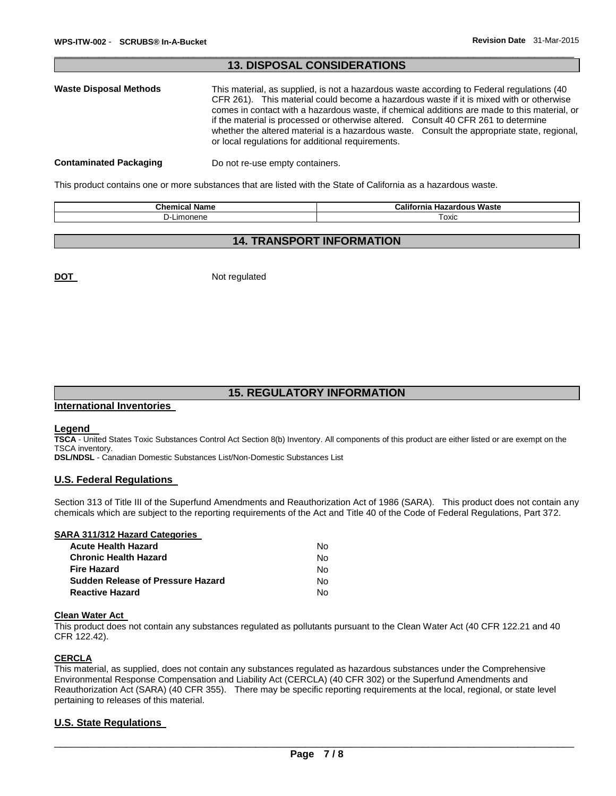# **13. DISPOSAL CONSIDERATIONS Waste Disposal Methods** This material, as supplied, is not a hazardous waste according to Federal regulations (40 CFR 261). This material could become a hazardous waste if it is mixed with or otherwise comes in contact with a hazardous waste, if chemical additions are made to this material, or if the material is processed or otherwise altered. Consult 40 CFR 261 to determine whether the altered material is a hazardous waste. Consult the appropriate state, regional, or local regulations for additional requirements. **Contaminated Packaging <b>Do not re-use empty containers.**

\_\_\_\_\_\_\_\_\_\_\_\_\_\_\_\_\_\_\_\_\_\_\_\_\_\_\_\_\_\_\_\_\_\_\_\_\_\_\_\_\_\_\_\_\_\_\_\_\_\_\_\_\_\_\_\_\_\_\_\_\_\_\_\_\_\_\_\_\_\_\_\_\_\_\_\_\_\_\_\_\_\_\_\_\_\_\_\_\_\_\_\_\_

This product contains one or more substances that are listed with the State of California as a hazardous waste.

| <b>Chemical Name</b> | ---<br>---<br><b>Califor</b><br>Waste<br><b>Hazardous</b><br>nıa |
|----------------------|------------------------------------------------------------------|
| umonene              | Foxic                                                            |

# **14. TRANSPORT INFORMATION**

**DOT** Not regulated

# **15. REGULATORY INFORMATION**

#### **International Inventories**

#### **Legend**

**TSCA** - United States Toxic Substances Control Act Section 8(b) Inventory. All components of this product are either listed or are exempt on the TSCA inventory.

**DSL/NDSL** - Canadian Domestic Substances List/Non-Domestic Substances List

#### **U.S. Federal Regulations**

Section 313 of Title III of the Superfund Amendments and Reauthorization Act of 1986 (SARA). This product does not contain any chemicals which are subject to the reporting requirements of the Act and Title 40 of the Code of Federal Regulations, Part 372.

### **SARA 311/312 Hazard Categories**

| Acute Health Hazard               | No. |
|-----------------------------------|-----|
| Chronic Health Hazard             | No. |
| Fire Hazard                       | No. |
| Sudden Release of Pressure Hazard | N٥  |
| Reactive Hazard                   | N٥. |

#### **Clean Water Act**

This product does not contain any substances regulated as pollutants pursuant to the Clean Water Act (40 CFR 122.21 and 40 CFR 122.42).

### **CERCLA**

This material, as supplied, does not contain any substances regulated as hazardous substances under the Comprehensive Environmental Response Compensation and Liability Act (CERCLA) (40 CFR 302) or the Superfund Amendments and Reauthorization Act (SARA) (40 CFR 355). There may be specific reporting requirements at the local, regional, or state level pertaining to releases of this material.

#### **U.S. State Regulations**